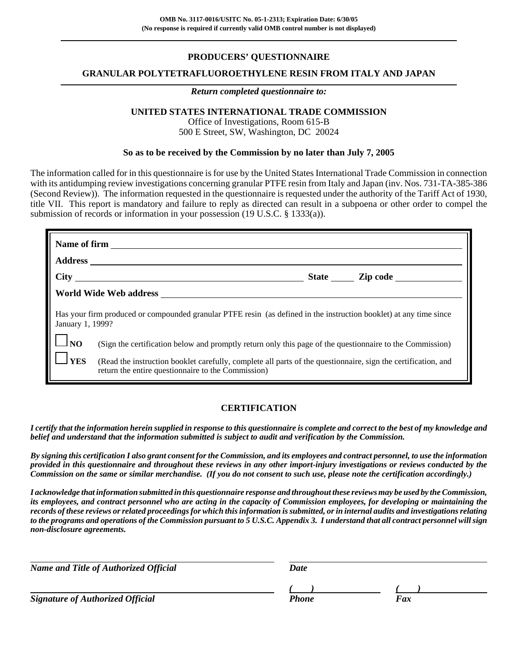### **PRODUCERS' QUESTIONNAIRE**

### **GRANULAR POLYTETRAFLUOROETHYLENE RESIN FROM ITALY AND JAPAN**

#### *Return completed questionnaire to:*

### **UNITED STATES INTERNATIONAL TRADE COMMISSION**

Office of Investigations, Room 615-B 500 E Street, SW, Washington, DC 20024

#### **So as to be received by the Commission by no later than July 7, 2005**

The information called for in this questionnaire is for use by the United States International Trade Commission in connection with its antidumping review investigations concerning granular PTFE resin from Italy and Japan (inv. Nos. 731-TA-385-386) (Second Review)). The information requested in the questionnaire is requested under the authority of the Tariff Act of 1930, title VII. This report is mandatory and failure to reply as directed can result in a subpoena or other order to compel the submission of records or information in your possession (19 U.S.C. § 1333(a)).

|                   | Name of firm                                                                                                                                                        |
|-------------------|---------------------------------------------------------------------------------------------------------------------------------------------------------------------|
|                   |                                                                                                                                                                     |
|                   |                                                                                                                                                                     |
|                   |                                                                                                                                                                     |
| January 1, 1999?  | Has your firm produced or compounded granular PTFE resin (as defined in the instruction booklet) at any time since                                                  |
| $\frac{1}{10}$ NO | (Sign the certification below and promptly return only this page of the questionnaire to the Commission)                                                            |
| <b>YES</b>        | (Read the instruction booklet carefully, complete all parts of the questionnaire, sign the certification, and<br>return the entire questionnaire to the Commission) |

### **CERTIFICATION**

*I certify that the information herein supplied in response to this questionnaire is complete and correct to the best of my knowledge and belief and understand that the information submitted is subject to audit and verification by the Commission.*

*By signing this certification I also grant consent for the Commission, and its employees and contract personnel, to use the information provided in this questionnaire and throughout these reviews in any other import-injury investigations or reviews conducted by the Commission on the same or similar merchandise. (If you do not consent to such use, please note the certification accordingly.)*

*I acknowledge that information submitted in this questionnaire response and throughout these reviews may be used by the Commission, its employees, and contract personnel who are acting in the capacity of Commission employees, for developing or maintaining the records of these reviews or related proceedings for which this information is submitted, or in internal audits and investigations relating to the programs and operations of the Commission pursuant to 5 U.S.C. Appendix 3. I understand that all contract personnel will sign non-disclosure agreements.*

| <b>Name and Title of Authorized Official</b> | Date  |     |  |
|----------------------------------------------|-------|-----|--|
|                                              |       |     |  |
| <b>Signature of Authorized Official</b>      | Phone | Fax |  |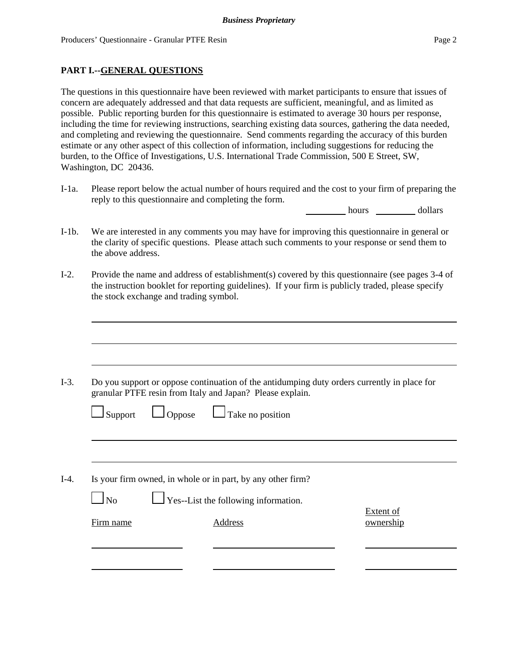### **PART I.--GENERAL QUESTIONS**

The questions in this questionnaire have been reviewed with market participants to ensure that issues of concern are adequately addressed and that data requests are sufficient, meaningful, and as limited as possible. Public reporting burden for this questionnaire is estimated to average 30 hours per response, including the time for reviewing instructions, searching existing data sources, gathering the data needed, and completing and reviewing the questionnaire. Send comments regarding the accuracy of this burden estimate or any other aspect of this collection of information, including suggestions for reducing the burden, to the Office of Investigations, U.S. International Trade Commission, 500 E Street, SW, Washington, DC 20436.

I-1a. Please report below the actual number of hours required and the cost to your firm of preparing the reply to this questionnaire and completing the form.

hours dollars

- I-1b. We are interested in any comments you may have for improving this questionnaire in general or the clarity of specific questions. Please attach such comments to your response or send them to the above address.
- I-2. Provide the name and address of establishment(s) covered by this questionnaire (see pages 3-4 of the instruction booklet for reporting guidelines). If your firm is publicly traded, please specify the stock exchange and trading symbol.

|                |               | granular PTFE resin from Italy and Japan? Please explain.   | Do you support or oppose continuation of the antidumping duty orders currently in place for |
|----------------|---------------|-------------------------------------------------------------|---------------------------------------------------------------------------------------------|
| $\Box$ Support | $\Box$ Oppose | $\Box$ Take no position                                     |                                                                                             |
|                |               |                                                             |                                                                                             |
|                |               | Is your firm owned, in whole or in part, by any other firm? |                                                                                             |
| $\log$         |               | $\Gamma$ Yes--List the following information.               |                                                                                             |
| Firm name      |               | Address                                                     | Extent of<br>ownership                                                                      |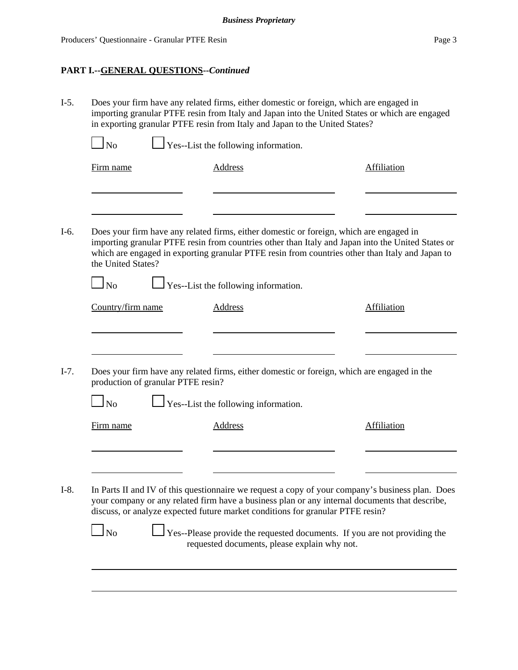# **PART I.--GENERAL QUESTIONS--***Continued*

| $I-5.$<br>Does your firm have any related firms, either domestic or foreign, which are engaged in<br>importing granular PTFE resin from Italy and Japan into the United States or which are engaged<br>in exporting granular PTFE resin from Italy and Japan to the United States? |                                                                                                                                                                                                                                                               |                                                                                                                                                                                                      |  |  |  |  |  |
|------------------------------------------------------------------------------------------------------------------------------------------------------------------------------------------------------------------------------------------------------------------------------------|---------------------------------------------------------------------------------------------------------------------------------------------------------------------------------------------------------------------------------------------------------------|------------------------------------------------------------------------------------------------------------------------------------------------------------------------------------------------------|--|--|--|--|--|
| <b>No</b>                                                                                                                                                                                                                                                                          | Yes--List the following information.                                                                                                                                                                                                                          |                                                                                                                                                                                                      |  |  |  |  |  |
| Firm name                                                                                                                                                                                                                                                                          | <b>Address</b>                                                                                                                                                                                                                                                | <b>Affiliation</b>                                                                                                                                                                                   |  |  |  |  |  |
|                                                                                                                                                                                                                                                                                    |                                                                                                                                                                                                                                                               |                                                                                                                                                                                                      |  |  |  |  |  |
| the United States?                                                                                                                                                                                                                                                                 | Does your firm have any related firms, either domestic or foreign, which are engaged in                                                                                                                                                                       | importing granular PTFE resin from countries other than Italy and Japan into the United States or<br>which are engaged in exporting granular PTFE resin from countries other than Italy and Japan to |  |  |  |  |  |
| $\ln$                                                                                                                                                                                                                                                                              | $\Gamma$ Yes--List the following information.                                                                                                                                                                                                                 |                                                                                                                                                                                                      |  |  |  |  |  |
| Country/firm name                                                                                                                                                                                                                                                                  | <b>Address</b>                                                                                                                                                                                                                                                | <b>Affiliation</b>                                                                                                                                                                                   |  |  |  |  |  |
| production of granular PTFE resin?                                                                                                                                                                                                                                                 | Does your firm have any related firms, either domestic or foreign, which are engaged in the                                                                                                                                                                   |                                                                                                                                                                                                      |  |  |  |  |  |
| $\log$                                                                                                                                                                                                                                                                             | Yes--List the following information.                                                                                                                                                                                                                          |                                                                                                                                                                                                      |  |  |  |  |  |
| Firm name                                                                                                                                                                                                                                                                          | <b>Address</b>                                                                                                                                                                                                                                                | <b>Affiliation</b>                                                                                                                                                                                   |  |  |  |  |  |
|                                                                                                                                                                                                                                                                                    |                                                                                                                                                                                                                                                               |                                                                                                                                                                                                      |  |  |  |  |  |
| $\ln$                                                                                                                                                                                                                                                                              | your company or any related firm have a business plan or any internal documents that describe,<br>discuss, or analyze expected future market conditions for granular PTFE resin?<br>Yes--Please provide the requested documents. If you are not providing the | In Parts II and IV of this questionnaire we request a copy of your company's business plan. Does                                                                                                     |  |  |  |  |  |
|                                                                                                                                                                                                                                                                                    | requested documents, please explain why not.                                                                                                                                                                                                                  |                                                                                                                                                                                                      |  |  |  |  |  |
|                                                                                                                                                                                                                                                                                    |                                                                                                                                                                                                                                                               |                                                                                                                                                                                                      |  |  |  |  |  |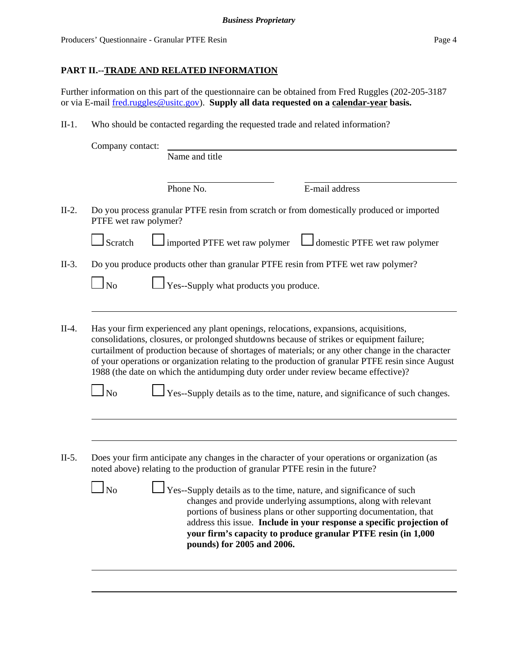Producers' Questionnaire - Granular PTFE Resin Page 4

## **PART II.--TRADE AND RELATED INFORMATION**

Further information on this part of the questionnaire can be obtained from Fred Ruggles (202-205-3187 or via E-mail fred.ruggles@usitc.gov). **Supply all data requested on a calendar-year basis.**

II-1. Who should be contacted regarding the requested trade and related information?

| Company contact:       |         |                                                |                                                                                                                                                                                                                                                                                                                                                                      |
|------------------------|---------|------------------------------------------------|----------------------------------------------------------------------------------------------------------------------------------------------------------------------------------------------------------------------------------------------------------------------------------------------------------------------------------------------------------------------|
|                        |         | Name and title                                 |                                                                                                                                                                                                                                                                                                                                                                      |
|                        |         | Phone No.                                      | E-mail address                                                                                                                                                                                                                                                                                                                                                       |
|                        |         | PTFE wet raw polymer?                          | Do you process granular PTFE resin from scratch or from domestically produced or imported                                                                                                                                                                                                                                                                            |
|                        | Scratch | imported PTFE wet raw polymer                  | domestic PTFE wet raw polymer                                                                                                                                                                                                                                                                                                                                        |
|                        |         |                                                | Do you produce products other than granular PTFE resin from PTFE wet raw polymer?                                                                                                                                                                                                                                                                                    |
| $\overline{\rm ~No}$   |         | $\perp$ Yes--Supply what products you produce. |                                                                                                                                                                                                                                                                                                                                                                      |
|                        |         |                                                |                                                                                                                                                                                                                                                                                                                                                                      |
|                        |         |                                                | Has your firm experienced any plant openings, relocations, expansions, acquisitions,<br>consolidations, closures, or prolonged shutdowns because of strikes or equipment failure;<br>curtailment of production because of shortages of materials; or any other change in the character                                                                               |
| $\overline{\text{No}}$ |         |                                                | 1988 (the date on which the antidumping duty order under review became effective)?                                                                                                                                                                                                                                                                                   |
|                        |         |                                                |                                                                                                                                                                                                                                                                                                                                                                      |
|                        |         |                                                | of your operations or organization relating to the production of granular PTFE resin since August<br>Yes--Supply details as to the time, nature, and significance of such changes.<br>Does your firm anticipate any changes in the character of your operations or organization (as<br>noted above) relating to the production of granular PTFE resin in the future? |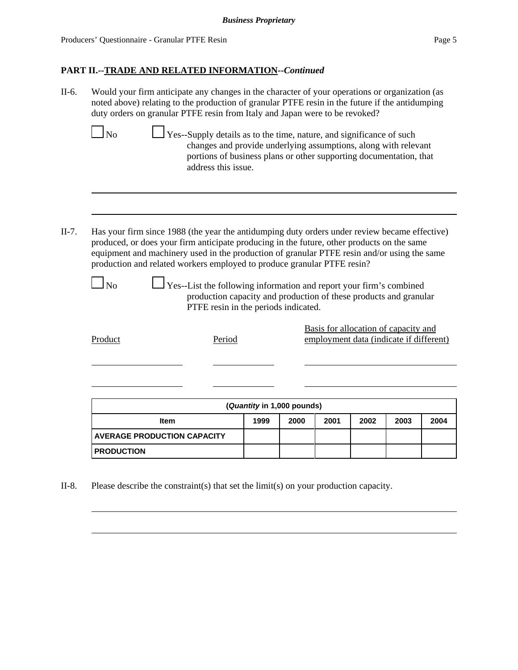Producers' Questionnaire - Granular PTFE Resin Page 5

## **PART II.--TRADE AND RELATED INFORMATION--***Continued*

II-6. Would your firm anticipate any changes in the character of your operations or organization (as noted above) relating to the production of granular PTFE resin in the future if the antidumping duty orders on granular PTFE resin from Italy and Japan were to be revoked?

|       |                | Yes--Supply details as to the time, nature, and significance of such<br>address this issue. | changes and provide underlying assumptions, along with relevant<br>portions of business plans or other supporting documentation, that                                                                                                                                                      |
|-------|----------------|---------------------------------------------------------------------------------------------|--------------------------------------------------------------------------------------------------------------------------------------------------------------------------------------------------------------------------------------------------------------------------------------------|
|       |                |                                                                                             |                                                                                                                                                                                                                                                                                            |
| II-7. |                | production and related workers employed to produce granular PTFE resin?                     | Has your firm since 1988 (the year the antidumping duty orders under review became effective)<br>produced, or does your firm anticipate producing in the future, other products on the same<br>equipment and machinery used in the production of granular PTFE resin and/or using the same |
|       | N <sub>0</sub> | PTFE resin in the periods indicated.                                                        | $\perp$ Yes--List the following information and report your firm's combined<br>production capacity and production of these products and granular                                                                                                                                           |
|       | Product        | Period                                                                                      | Basis for allocation of capacity and<br>employment data (indicate if different)                                                                                                                                                                                                            |

| (Quantity in 1,000 pounds)                           |  |  |  |  |  |  |  |  |
|------------------------------------------------------|--|--|--|--|--|--|--|--|
| 1999<br>2000<br>2001<br>2003<br>2002<br>2004<br>Item |  |  |  |  |  |  |  |  |
| <b>AVERAGE PRODUCTION CAPACITY</b>                   |  |  |  |  |  |  |  |  |
| <b>PRODUCTION</b>                                    |  |  |  |  |  |  |  |  |

II-8. Please describe the constraint(s) that set the limit(s) on your production capacity.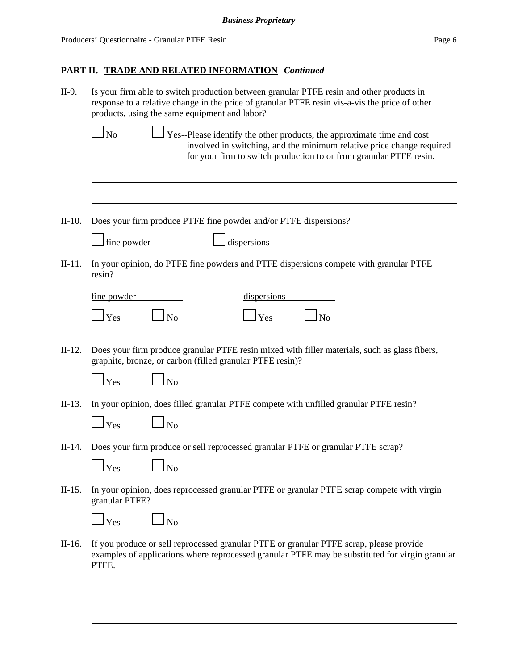| Is your firm able to switch production between granular PTFE resin and other products in<br>response to a relative change in the price of granular PTFE resin vis-a-vis the price of other<br>products, using the same equipment and labor? |
|---------------------------------------------------------------------------------------------------------------------------------------------------------------------------------------------------------------------------------------------|
| $\Box$ Yes--Please identify the other products, the approximate time and cost<br><b>No</b><br>involved in switching, and the minimum relative price change required<br>for your firm to switch production to or from granular PTFE resin.   |
|                                                                                                                                                                                                                                             |
| Does your firm produce PTFE fine powder and/or PTFE dispersions?                                                                                                                                                                            |
| $\Box$ fine powder<br>dispersions                                                                                                                                                                                                           |
| In your opinion, do PTFE fine powders and PTFE dispersions compete with granular PTFE<br>resin?                                                                                                                                             |
| dispersions<br>fine powder                                                                                                                                                                                                                  |
| $\Box_{\text{No}}$<br>$\mathbf{\perp}$ Yes<br>$\Box$ Yes<br>$\Box$ No                                                                                                                                                                       |
| Does your firm produce granular PTFE resin mixed with filler materials, such as glass fibers,<br>graphite, bronze, or carbon (filled granular PTFE resin)?<br>$\Box$ No<br>$\mathbf{\perp}$ Yes                                             |
| In your opinion, does filled granular PTFE compete with unfilled granular PTFE resin?                                                                                                                                                       |
| $\Box$ No<br>$\mathbf{\perp}$ Yes                                                                                                                                                                                                           |
| Does your firm produce or sell reprocessed granular PTFE or granular PTFE scrap?                                                                                                                                                            |
| $\mathbf{\perp}$ Yes<br>$\Box$ No                                                                                                                                                                                                           |
| In your opinion, does reprocessed granular PTFE or granular PTFE scrap compete with virgin<br>granular PTFE?                                                                                                                                |
| $\mathbf{I}$ Yes<br>$\Box$ No                                                                                                                                                                                                               |
| If you produce or sell reprocessed granular PTFE or granular PTFE scrap, please provide<br>examples of applications where reprocessed granular PTFE may be substituted for virgin granular<br>PTFE.                                         |
|                                                                                                                                                                                                                                             |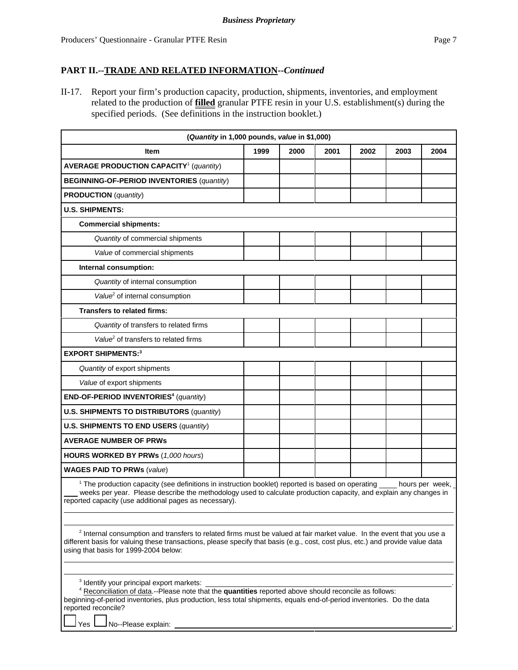II-17. Report your firm's production capacity, production, shipments, inventories, and employment related to the production of **filled** granular PTFE resin in your U.S. establishment(s) during the specified periods. (See definitions in the instruction booklet.)

| (Quantity in 1,000 pounds, value in \$1,000)                                                                                                                                                                                                                                                                 |      |      |      |      |      |                 |  |
|--------------------------------------------------------------------------------------------------------------------------------------------------------------------------------------------------------------------------------------------------------------------------------------------------------------|------|------|------|------|------|-----------------|--|
| <b>Item</b>                                                                                                                                                                                                                                                                                                  | 1999 | 2000 | 2001 | 2002 | 2003 | 2004            |  |
| <b>AVERAGE PRODUCTION CAPACITY<sup>1</sup></b> (quantity)                                                                                                                                                                                                                                                    |      |      |      |      |      |                 |  |
| <b>BEGINNING-OF-PERIOD INVENTORIES (quantity)</b>                                                                                                                                                                                                                                                            |      |      |      |      |      |                 |  |
| <b>PRODUCTION</b> (quantity)                                                                                                                                                                                                                                                                                 |      |      |      |      |      |                 |  |
| <b>U.S. SHIPMENTS:</b>                                                                                                                                                                                                                                                                                       |      |      |      |      |      |                 |  |
| <b>Commercial shipments:</b>                                                                                                                                                                                                                                                                                 |      |      |      |      |      |                 |  |
| Quantity of commercial shipments                                                                                                                                                                                                                                                                             |      |      |      |      |      |                 |  |
| Value of commercial shipments                                                                                                                                                                                                                                                                                |      |      |      |      |      |                 |  |
| Internal consumption:                                                                                                                                                                                                                                                                                        |      |      |      |      |      |                 |  |
| Quantity of internal consumption                                                                                                                                                                                                                                                                             |      |      |      |      |      |                 |  |
| Value <sup>2</sup> of internal consumption                                                                                                                                                                                                                                                                   |      |      |      |      |      |                 |  |
| <b>Transfers to related firms:</b>                                                                                                                                                                                                                                                                           |      |      |      |      |      |                 |  |
| Quantity of transfers to related firms                                                                                                                                                                                                                                                                       |      |      |      |      |      |                 |  |
| Value <sup>2</sup> of transfers to related firms                                                                                                                                                                                                                                                             |      |      |      |      |      |                 |  |
| <b>EXPORT SHIPMENTS:3</b>                                                                                                                                                                                                                                                                                    |      |      |      |      |      |                 |  |
| Quantity of export shipments                                                                                                                                                                                                                                                                                 |      |      |      |      |      |                 |  |
| Value of export shipments                                                                                                                                                                                                                                                                                    |      |      |      |      |      |                 |  |
| END-OF-PERIOD INVENTORIES <sup>4</sup> (quantity)                                                                                                                                                                                                                                                            |      |      |      |      |      |                 |  |
| <b>U.S. SHIPMENTS TO DISTRIBUTORS (quantity)</b>                                                                                                                                                                                                                                                             |      |      |      |      |      |                 |  |
| <b>U.S. SHIPMENTS TO END USERS (quantity)</b>                                                                                                                                                                                                                                                                |      |      |      |      |      |                 |  |
| <b>AVERAGE NUMBER OF PRWs</b>                                                                                                                                                                                                                                                                                |      |      |      |      |      |                 |  |
| <b>HOURS WORKED BY PRWs (1,000 hours)</b>                                                                                                                                                                                                                                                                    |      |      |      |      |      |                 |  |
| <b>WAGES PAID TO PRWs (value)</b>                                                                                                                                                                                                                                                                            |      |      |      |      |      |                 |  |
| <sup>1</sup> The production capacity (see definitions in instruction booklet) reported is based on operating<br>weeks per year. Please describe the methodology used to calculate production capacity, and explain any changes in<br>reported capacity (use additional pages as necessary).                  |      |      |      |      |      | hours per week, |  |
| <sup>2</sup> Internal consumption and transfers to related firms must be valued at fair market value. In the event that you use a<br>different basis for valuing these transactions, please specify that basis (e.g., cost, cost plus, etc.) and provide value data<br>using that basis for 1999-2004 below: |      |      |      |      |      |                 |  |

3 Identify your principal export markets: .

4 Reconciliation of data.--Please note that the **quantities** reported above should reconcile as follows: beginning-of-period inventories, plus production, less total shipments, equals end-of-period inventories. Do the data reported reconcile?

Yes  $\Box$  No--Please explain: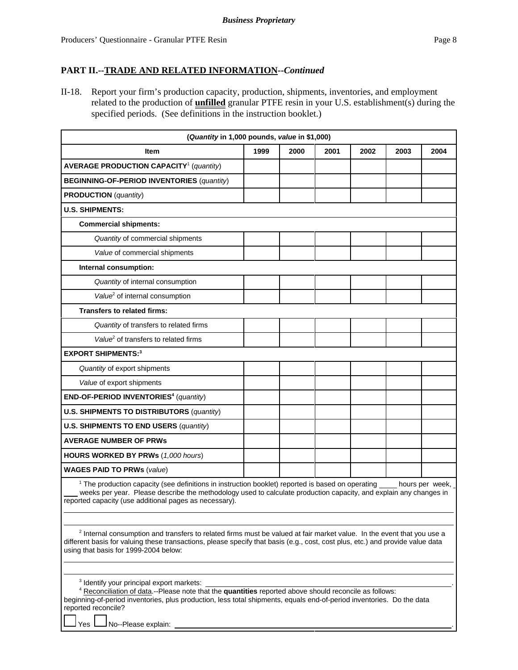II-18. Report your firm's production capacity, production, shipments, inventories, and employment related to the production of **unfilled** granular PTFE resin in your U.S. establishment(s) during the specified periods. (See definitions in the instruction booklet.)

| (Quantity in 1,000 pounds, value in \$1,000)                                                                                                                                                                                                                                                                 |      |      |      |      |      |      |  |  |
|--------------------------------------------------------------------------------------------------------------------------------------------------------------------------------------------------------------------------------------------------------------------------------------------------------------|------|------|------|------|------|------|--|--|
| <b>Item</b>                                                                                                                                                                                                                                                                                                  | 1999 | 2000 | 2001 | 2002 | 2003 | 2004 |  |  |
| <b>AVERAGE PRODUCTION CAPACITY<sup>1</sup></b> (quantity)                                                                                                                                                                                                                                                    |      |      |      |      |      |      |  |  |
| <b>BEGINNING-OF-PERIOD INVENTORIES (quantity)</b>                                                                                                                                                                                                                                                            |      |      |      |      |      |      |  |  |
| <b>PRODUCTION</b> (quantity)                                                                                                                                                                                                                                                                                 |      |      |      |      |      |      |  |  |
| <b>U.S. SHIPMENTS:</b>                                                                                                                                                                                                                                                                                       |      |      |      |      |      |      |  |  |
| <b>Commercial shipments:</b>                                                                                                                                                                                                                                                                                 |      |      |      |      |      |      |  |  |
| Quantity of commercial shipments                                                                                                                                                                                                                                                                             |      |      |      |      |      |      |  |  |
| Value of commercial shipments                                                                                                                                                                                                                                                                                |      |      |      |      |      |      |  |  |
| Internal consumption:                                                                                                                                                                                                                                                                                        |      |      |      |      |      |      |  |  |
| Quantity of internal consumption                                                                                                                                                                                                                                                                             |      |      |      |      |      |      |  |  |
| Value <sup>2</sup> of internal consumption                                                                                                                                                                                                                                                                   |      |      |      |      |      |      |  |  |
| <b>Transfers to related firms:</b>                                                                                                                                                                                                                                                                           |      |      |      |      |      |      |  |  |
| Quantity of transfers to related firms                                                                                                                                                                                                                                                                       |      |      |      |      |      |      |  |  |
| Value <sup>2</sup> of transfers to related firms                                                                                                                                                                                                                                                             |      |      |      |      |      |      |  |  |
| <b>EXPORT SHIPMENTS:3</b>                                                                                                                                                                                                                                                                                    |      |      |      |      |      |      |  |  |
| Quantity of export shipments                                                                                                                                                                                                                                                                                 |      |      |      |      |      |      |  |  |
| Value of export shipments                                                                                                                                                                                                                                                                                    |      |      |      |      |      |      |  |  |
| END-OF-PERIOD INVENTORIES <sup>4</sup> (quantity)                                                                                                                                                                                                                                                            |      |      |      |      |      |      |  |  |
| <b>U.S. SHIPMENTS TO DISTRIBUTORS (quantity)</b>                                                                                                                                                                                                                                                             |      |      |      |      |      |      |  |  |
| <b>U.S. SHIPMENTS TO END USERS (quantity)</b>                                                                                                                                                                                                                                                                |      |      |      |      |      |      |  |  |
| <b>AVERAGE NUMBER OF PRWS</b>                                                                                                                                                                                                                                                                                |      |      |      |      |      |      |  |  |
| <b>HOURS WORKED BY PRWs (1,000 hours)</b>                                                                                                                                                                                                                                                                    |      |      |      |      |      |      |  |  |
| <b>WAGES PAID TO PRWs (value)</b>                                                                                                                                                                                                                                                                            |      |      |      |      |      |      |  |  |
| <sup>1</sup> The production capacity (see definitions in instruction booklet) reported is based on operating hours per week,<br>weeks per year. Please describe the methodology used to calculate production capacity, and explain any changes in<br>reported capacity (use additional pages as necessary).  |      |      |      |      |      |      |  |  |
| <sup>2</sup> Internal consumption and transfers to related firms must be valued at fair market value. In the event that you use a<br>different basis for valuing these transactions, please specify that basis (e.g., cost, cost plus, etc.) and provide value data<br>using that basis for 1999-2004 below: |      |      |      |      |      |      |  |  |

3 Identify your principal export markets: .

4 Reconciliation of data.--Please note that the **quantities** reported above should reconcile as follows: beginning-of-period inventories, plus production, less total shipments, equals end-of-period inventories. Do the data reported reconcile?

Yes  $\Box$  No--Please explain: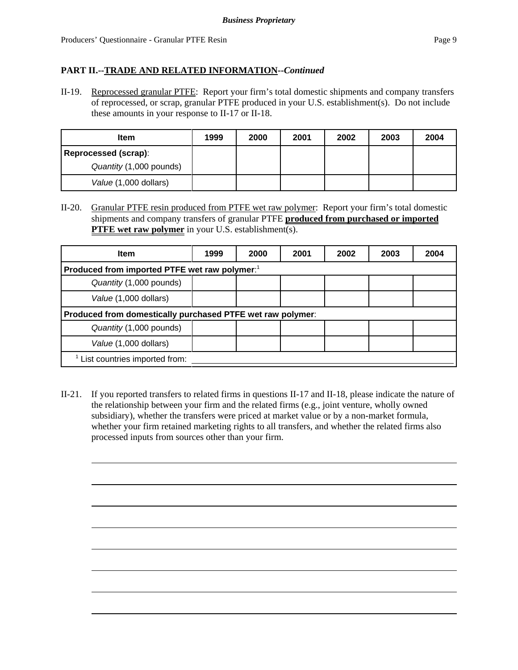II-19. Reprocessed granular PTFE: Report your firm's total domestic shipments and company transfers of reprocessed, or scrap, granular PTFE produced in your U.S. establishment(s). Do not include these amounts in your response to II-17 or II-18.

| <b>Item</b>             | 1999 | 2000 | 2001 | 2002 | 2003 | 2004 |
|-------------------------|------|------|------|------|------|------|
| Reprocessed (scrap):    |      |      |      |      |      |      |
| Quantity (1,000 pounds) |      |      |      |      |      |      |
| Value (1,000 dollars)   |      |      |      |      |      |      |

II-20. Granular PTFE resin produced from PTFE wet raw polymer: Report your firm's total domestic shipments and company transfers of granular PTFE **produced from purchased or imported PTFE wet raw polymer** in your U.S. establishment(s).

| <b>Item</b>                                                | 1999 | 2000 | 2001 | 2002 | 2003 | 2004 |  |  |  |
|------------------------------------------------------------|------|------|------|------|------|------|--|--|--|
| Produced from imported PTFE wet raw polymer: <sup>1</sup>  |      |      |      |      |      |      |  |  |  |
| Quantity (1,000 pounds)                                    |      |      |      |      |      |      |  |  |  |
| Value (1,000 dollars)                                      |      |      |      |      |      |      |  |  |  |
| Produced from domestically purchased PTFE wet raw polymer: |      |      |      |      |      |      |  |  |  |
| Quantity (1,000 pounds)                                    |      |      |      |      |      |      |  |  |  |
| Value (1,000 dollars)                                      |      |      |      |      |      |      |  |  |  |
| List countries imported from:                              |      |      |      |      |      |      |  |  |  |

II-21. If you reported transfers to related firms in questions II-17 and II-18, please indicate the nature of the relationship between your firm and the related firms (e.g., joint venture, wholly owned subsidiary), whether the transfers were priced at market value or by a non-market formula, whether your firm retained marketing rights to all transfers, and whether the related firms also processed inputs from sources other than your firm.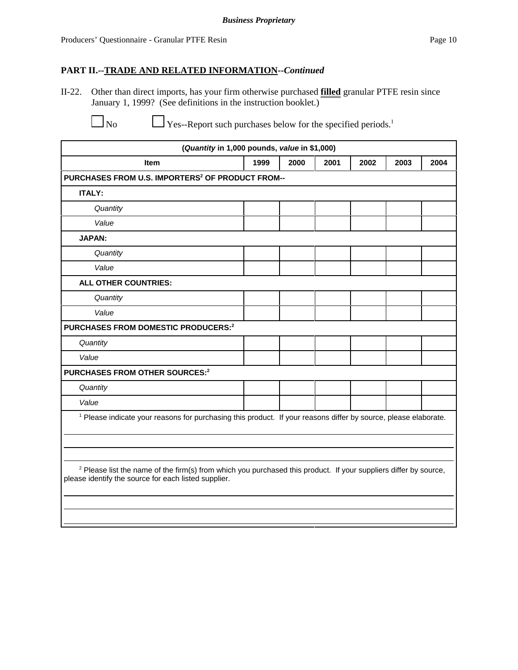II-22. Other than direct imports, has your firm otherwise purchased **filled** granular PTFE resin since January 1, 1999? (See definitions in the instruction booklet.)

No Yes--Report such purchases below for the specified periods.<sup>1</sup>

| (Quantity in 1,000 pounds, value in \$1,000)                                                                                                                                        |      |      |      |      |      |      |
|-------------------------------------------------------------------------------------------------------------------------------------------------------------------------------------|------|------|------|------|------|------|
| Item                                                                                                                                                                                | 1999 | 2000 | 2001 | 2002 | 2003 | 2004 |
| PURCHASES FROM U.S. IMPORTERS <sup>2</sup> OF PRODUCT FROM--                                                                                                                        |      |      |      |      |      |      |
| <b>ITALY:</b>                                                                                                                                                                       |      |      |      |      |      |      |
| Quantity                                                                                                                                                                            |      |      |      |      |      |      |
| Value                                                                                                                                                                               |      |      |      |      |      |      |
| <b>JAPAN:</b>                                                                                                                                                                       |      |      |      |      |      |      |
| Quantity                                                                                                                                                                            |      |      |      |      |      |      |
| Value                                                                                                                                                                               |      |      |      |      |      |      |
| <b>ALL OTHER COUNTRIES:</b>                                                                                                                                                         |      |      |      |      |      |      |
| Quantity                                                                                                                                                                            |      |      |      |      |      |      |
| Value                                                                                                                                                                               |      |      |      |      |      |      |
| <b>PURCHASES FROM DOMESTIC PRODUCERS:2</b>                                                                                                                                          |      |      |      |      |      |      |
| Quantity                                                                                                                                                                            |      |      |      |      |      |      |
| Value                                                                                                                                                                               |      |      |      |      |      |      |
| <b>PURCHASES FROM OTHER SOURCES:2</b>                                                                                                                                               |      |      |      |      |      |      |
| Quantity                                                                                                                                                                            |      |      |      |      |      |      |
| Value                                                                                                                                                                               |      |      |      |      |      |      |
| <sup>1</sup> Please indicate your reasons for purchasing this product. If your reasons differ by source, please elaborate.                                                          |      |      |      |      |      |      |
|                                                                                                                                                                                     |      |      |      |      |      |      |
|                                                                                                                                                                                     |      |      |      |      |      |      |
| <sup>2</sup> Please list the name of the firm(s) from which you purchased this product. If your suppliers differ by source,<br>please identify the source for each listed supplier. |      |      |      |      |      |      |
|                                                                                                                                                                                     |      |      |      |      |      |      |
|                                                                                                                                                                                     |      |      |      |      |      |      |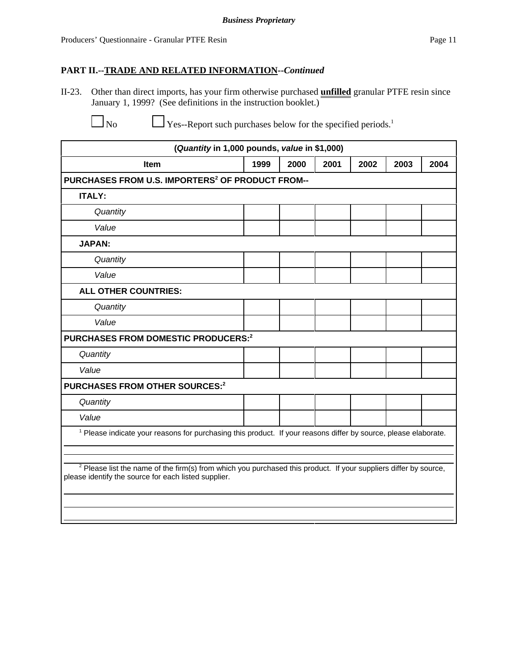II-23. Other than direct imports, has your firm otherwise purchased **unfilled** granular PTFE resin since January 1, 1999? (See definitions in the instruction booklet.)

 $\Box$  No  $\Box$  Yes--Report such purchases below for the specified periods.<sup>1</sup>

| (Quantity in 1,000 pounds, value in \$1,000)                                                                                                                                        |      |      |      |      |      |      |
|-------------------------------------------------------------------------------------------------------------------------------------------------------------------------------------|------|------|------|------|------|------|
| Item                                                                                                                                                                                | 1999 | 2000 | 2001 | 2002 | 2003 | 2004 |
| PURCHASES FROM U.S. IMPORTERS <sup>2</sup> OF PRODUCT FROM--                                                                                                                        |      |      |      |      |      |      |
| <b>ITALY:</b>                                                                                                                                                                       |      |      |      |      |      |      |
| Quantity                                                                                                                                                                            |      |      |      |      |      |      |
| Value                                                                                                                                                                               |      |      |      |      |      |      |
| <b>JAPAN:</b>                                                                                                                                                                       |      |      |      |      |      |      |
| Quantity                                                                                                                                                                            |      |      |      |      |      |      |
| Value                                                                                                                                                                               |      |      |      |      |      |      |
| <b>ALL OTHER COUNTRIES:</b>                                                                                                                                                         |      |      |      |      |      |      |
| Quantity                                                                                                                                                                            |      |      |      |      |      |      |
| Value                                                                                                                                                                               |      |      |      |      |      |      |
| PURCHASES FROM DOMESTIC PRODUCERS:2                                                                                                                                                 |      |      |      |      |      |      |
| Quantity                                                                                                                                                                            |      |      |      |      |      |      |
| Value                                                                                                                                                                               |      |      |      |      |      |      |
| <b>PURCHASES FROM OTHER SOURCES:2</b>                                                                                                                                               |      |      |      |      |      |      |
| Quantity                                                                                                                                                                            |      |      |      |      |      |      |
| Value                                                                                                                                                                               |      |      |      |      |      |      |
| <sup>1</sup> Please indicate your reasons for purchasing this product. If your reasons differ by source, please elaborate.                                                          |      |      |      |      |      |      |
|                                                                                                                                                                                     |      |      |      |      |      |      |
| <sup>2</sup> Please list the name of the firm(s) from which you purchased this product. If your suppliers differ by source,<br>please identify the source for each listed supplier. |      |      |      |      |      |      |
|                                                                                                                                                                                     |      |      |      |      |      |      |
|                                                                                                                                                                                     |      |      |      |      |      |      |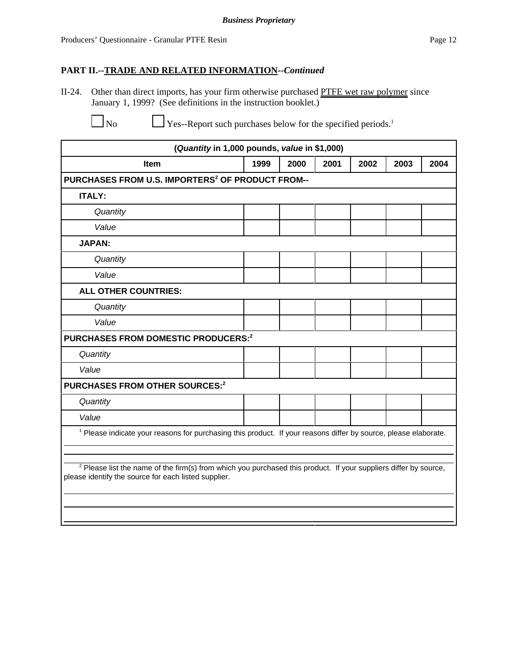II-24. Other than direct imports, has your firm otherwise purchased PTFE wet raw polymer since January 1, 1999? (See definitions in the instruction booklet.)

 $\Box$  No  $\Box$  Yes--Report such purchases below for the specified periods.<sup>1</sup>

| (Quantity in 1,000 pounds, value in \$1,000)                                                                                                                                        |      |      |      |      |      |      |
|-------------------------------------------------------------------------------------------------------------------------------------------------------------------------------------|------|------|------|------|------|------|
| <b>Item</b>                                                                                                                                                                         | 1999 | 2000 | 2001 | 2002 | 2003 | 2004 |
| PURCHASES FROM U.S. IMPORTERS <sup>2</sup> OF PRODUCT FROM--                                                                                                                        |      |      |      |      |      |      |
| <b>ITALY:</b>                                                                                                                                                                       |      |      |      |      |      |      |
| Quantity                                                                                                                                                                            |      |      |      |      |      |      |
| Value                                                                                                                                                                               |      |      |      |      |      |      |
| <b>JAPAN:</b>                                                                                                                                                                       |      |      |      |      |      |      |
| Quantity                                                                                                                                                                            |      |      |      |      |      |      |
| Value                                                                                                                                                                               |      |      |      |      |      |      |
| <b>ALL OTHER COUNTRIES:</b>                                                                                                                                                         |      |      |      |      |      |      |
| Quantity                                                                                                                                                                            |      |      |      |      |      |      |
| Value                                                                                                                                                                               |      |      |      |      |      |      |
| <b>PURCHASES FROM DOMESTIC PRODUCERS:2</b>                                                                                                                                          |      |      |      |      |      |      |
| Quantity                                                                                                                                                                            |      |      |      |      |      |      |
| Value                                                                                                                                                                               |      |      |      |      |      |      |
| <b>PURCHASES FROM OTHER SOURCES:2</b>                                                                                                                                               |      |      |      |      |      |      |
| Quantity                                                                                                                                                                            |      |      |      |      |      |      |
| Value                                                                                                                                                                               |      |      |      |      |      |      |
| <sup>1</sup> Please indicate your reasons for purchasing this product. If your reasons differ by source, please elaborate.                                                          |      |      |      |      |      |      |
|                                                                                                                                                                                     |      |      |      |      |      |      |
| <sup>2</sup> Please list the name of the firm(s) from which you purchased this product. If your suppliers differ by source,<br>please identify the source for each listed supplier. |      |      |      |      |      |      |
|                                                                                                                                                                                     |      |      |      |      |      |      |
|                                                                                                                                                                                     |      |      |      |      |      |      |
|                                                                                                                                                                                     |      |      |      |      |      |      |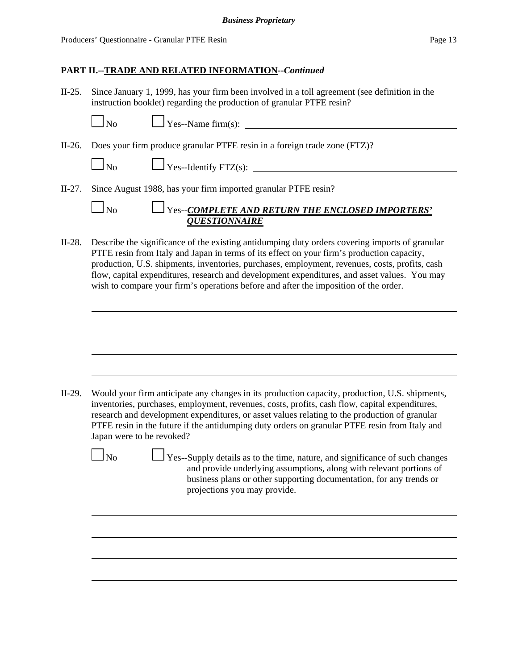II-25. Since January 1, 1999, has your firm been involved in a toll agreement (see definition in the instruction booklet) regarding the production of granular PTFE resin?

No Yes--Name firm(s):

II-26. Does your firm produce granular PTFE resin in a foreign trade zone (FTZ)?

| $\Box$ Yes--Identify FTZ(s):<br>N <sub>0</sub> |
|------------------------------------------------|
|------------------------------------------------|

II-27. Since August 1988, has your firm imported granular PTFE resin?

| No | <b>THE ENCLOSED IMPORTERS'</b> THE ENCLOSED IMPORTERS' |  |  |
|----|--------------------------------------------------------|--|--|
|    | <b><i>OUESTIONNAIRE</i></b>                            |  |  |

II-28. Describe the significance of the existing antidumping duty orders covering imports of granular PTFE resin from Italy and Japan in terms of its effect on your firm's production capacity, production, U.S. shipments, inventories, purchases, employment, revenues, costs, profits, cash flow, capital expenditures, research and development expenditures, and asset values. You may wish to compare your firm's operations before and after the imposition of the order.

II-29. Would your firm anticipate any changes in its production capacity, production, U.S. shipments, inventories, purchases, employment, revenues, costs, profits, cash flow, capital expenditures, research and development expenditures, or asset values relating to the production of granular PTFE resin in the future if the antidumping duty orders on granular PTFE resin from Italy and Japan were to be revoked?

 $\Box$  No  $\Box$  Yes--Supply details as to the time, nature, and significance of such changes and provide underlying assumptions, along with relevant portions of business plans or other supporting documentation, for any trends or projections you may provide.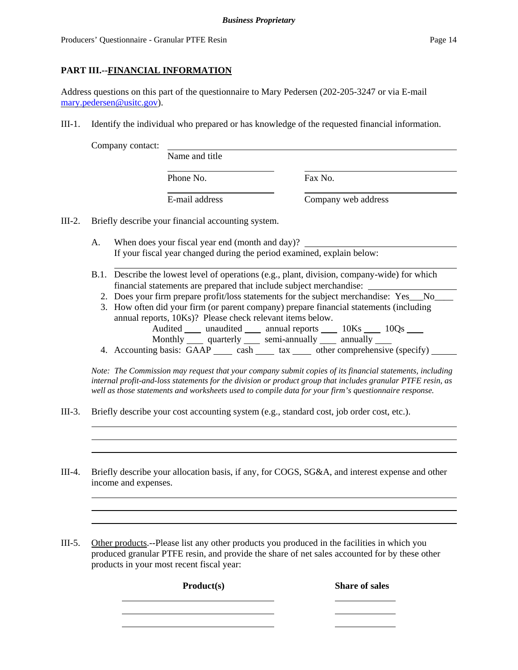### **PART III.--FINANCIAL INFORMATION**

Address questions on this part of the questionnaire to Mary Pedersen (202-205-3247 or via E-mail mary.pedersen@usitc.gov).

III-1. Identify the individual who prepared or has knowledge of the requested financial information.

Company contact:

| vuuvt. | Name and title |                     |
|--------|----------------|---------------------|
|        | Phone No.      | Fax No.             |
|        | E-mail address | Company web address |

III-2. Briefly describe your financial accounting system.

- A. When does your fiscal year end (month and day)? If your fiscal year changed during the period examined, explain below:
- B.1. Describe the lowest level of operations (e.g., plant, division, company-wide) for which financial statements are prepared that include subject merchandise:
	- 2. Does your firm prepare profit/loss statements for the subject merchandise: Yes No
	- 3. How often did your firm (or parent company) prepare financial statements (including annual reports, 10Ks)? Please check relevant items below. Audited \_\_\_\_\_ unaudited \_\_\_\_\_\_ annual reports \_\_\_\_\_\_ 10Ks \_\_\_\_\_ 10Qs \_\_\_\_\_
		- Monthly quarterly semi-annually annually
	- 4. Accounting basis:  $\overrightarrow{GAP}$  cash tax tax other comprehensive (specify)

*Note: The Commission may request that your company submit copies of its financial statements, including internal profit-and-loss statements for the division or product group that includes granular PTFE resin, as well as those statements and worksheets used to compile data for your firm's questionnaire response.*

- III-3. Briefly describe your cost accounting system (e.g., standard cost, job order cost, etc.).
- III-4. Briefly describe your allocation basis, if any, for COGS, SG&A, and interest expense and other income and expenses.
- III-5. Other products.--Please list any other products you produced in the facilities in which you produced granular PTFE resin, and provide the share of net sales accounted for by these other products in your most recent fiscal year:

Product(s) Share of sales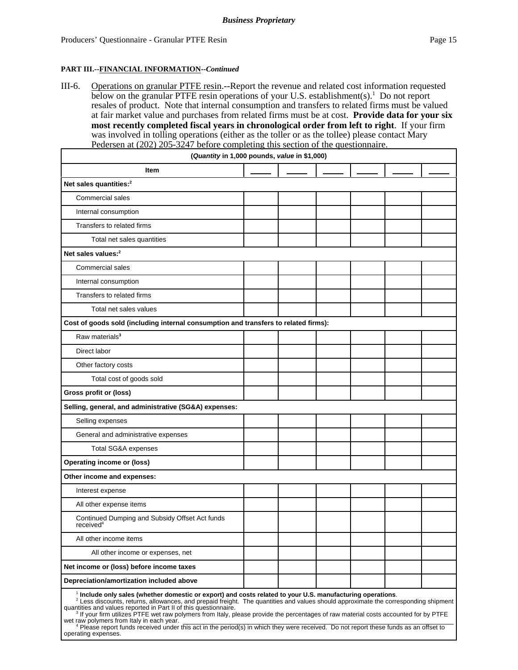#### **PART III.--FINANCIAL INFORMATION--***Continued*

III-6. Operations on granular PTFE resin.--Report the revenue and related cost information requested below on the granular PTFE resin operations of your U.S. establishment(s).<sup>1</sup> Do not report resales of product. Note that internal consumption and transfers to related firms must be valued at fair market value and purchases from related firms must be at cost. **Provide data for your six most recently completed fiscal years in chronological order from left to right**. If your firm was involved in tolling operations (either as the toller or as the tollee) please contact Mary Pedersen at (202) 205-3247 before completing this section of the questionnaire.

| (Quantity in 1,000 pounds, value in \$1,000)                                                                                                                                                                                                                                                                                                                                                                                                                                  |  |  |  |
|-------------------------------------------------------------------------------------------------------------------------------------------------------------------------------------------------------------------------------------------------------------------------------------------------------------------------------------------------------------------------------------------------------------------------------------------------------------------------------|--|--|--|
| Item                                                                                                                                                                                                                                                                                                                                                                                                                                                                          |  |  |  |
| Net sales quantities: <sup>2</sup>                                                                                                                                                                                                                                                                                                                                                                                                                                            |  |  |  |
| Commercial sales                                                                                                                                                                                                                                                                                                                                                                                                                                                              |  |  |  |
| Internal consumption                                                                                                                                                                                                                                                                                                                                                                                                                                                          |  |  |  |
| Transfers to related firms                                                                                                                                                                                                                                                                                                                                                                                                                                                    |  |  |  |
| Total net sales quantities                                                                                                                                                                                                                                                                                                                                                                                                                                                    |  |  |  |
| Net sales values: <sup>2</sup>                                                                                                                                                                                                                                                                                                                                                                                                                                                |  |  |  |
| <b>Commercial sales</b>                                                                                                                                                                                                                                                                                                                                                                                                                                                       |  |  |  |
| Internal consumption                                                                                                                                                                                                                                                                                                                                                                                                                                                          |  |  |  |
| Transfers to related firms                                                                                                                                                                                                                                                                                                                                                                                                                                                    |  |  |  |
| Total net sales values                                                                                                                                                                                                                                                                                                                                                                                                                                                        |  |  |  |
| Cost of goods sold (including internal consumption and transfers to related firms):                                                                                                                                                                                                                                                                                                                                                                                           |  |  |  |
| Raw materials <sup>3</sup>                                                                                                                                                                                                                                                                                                                                                                                                                                                    |  |  |  |
| Direct labor                                                                                                                                                                                                                                                                                                                                                                                                                                                                  |  |  |  |
| Other factory costs                                                                                                                                                                                                                                                                                                                                                                                                                                                           |  |  |  |
| Total cost of goods sold                                                                                                                                                                                                                                                                                                                                                                                                                                                      |  |  |  |
| Gross profit or (loss)                                                                                                                                                                                                                                                                                                                                                                                                                                                        |  |  |  |
| Selling, general, and administrative (SG&A) expenses:                                                                                                                                                                                                                                                                                                                                                                                                                         |  |  |  |
| Selling expenses                                                                                                                                                                                                                                                                                                                                                                                                                                                              |  |  |  |
| General and administrative expenses                                                                                                                                                                                                                                                                                                                                                                                                                                           |  |  |  |
| Total SG&A expenses                                                                                                                                                                                                                                                                                                                                                                                                                                                           |  |  |  |
| <b>Operating income or (loss)</b>                                                                                                                                                                                                                                                                                                                                                                                                                                             |  |  |  |
| Other income and expenses:                                                                                                                                                                                                                                                                                                                                                                                                                                                    |  |  |  |
| Interest expense                                                                                                                                                                                                                                                                                                                                                                                                                                                              |  |  |  |
| All other expense items                                                                                                                                                                                                                                                                                                                                                                                                                                                       |  |  |  |
| Continued Dumping and Subsidy Offset Act funds<br>received <sup>4</sup>                                                                                                                                                                                                                                                                                                                                                                                                       |  |  |  |
| All other income items                                                                                                                                                                                                                                                                                                                                                                                                                                                        |  |  |  |
| All other income or expenses, net                                                                                                                                                                                                                                                                                                                                                                                                                                             |  |  |  |
| Net income or (loss) before income taxes                                                                                                                                                                                                                                                                                                                                                                                                                                      |  |  |  |
| Depreciation/amortization included above                                                                                                                                                                                                                                                                                                                                                                                                                                      |  |  |  |
| $^1$ Include only sales (whether domestic or export) and costs related to your U.S. manufacturing operations.<br>$2$ Less discounts, returns, allowances, and prepaid freight. The quantities and values should approximate the corresponding shipment<br>quantities and values reported in Part II of this questionnaire.<br><sup>3</sup> If your firm utilizes PTFE wet raw polymers from Italy, please provide the percentages of raw material costs accounted for by PTFE |  |  |  |

wet raw polymers from Italy in each year.<br><sup>4</sup> Please report funds received under this act in the period(s) in which they were received. Do not report these funds as an offset to operating expenses.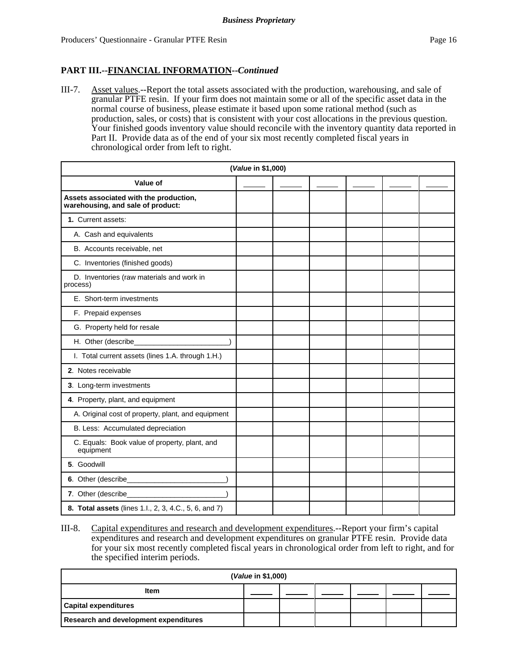### **PART III.--FINANCIAL INFORMATION--***Continued*

III-7. Asset values.--Report the total assets associated with the production, warehousing, and sale of granular PTFE resin. If your firm does not maintain some or all of the specific asset data in the normal course of business, please estimate it based upon some rational method (such as production, sales, or costs) that is consistent with your cost allocations in the previous question. Your finished goods inventory value should reconcile with the inventory quantity data reported in Part II. Provide data as of the end of your six most recently completed fiscal years in chronological order from left to right.

| (Value in \$1,000)                                                          |  |  |  |  |  |
|-----------------------------------------------------------------------------|--|--|--|--|--|
| Value of                                                                    |  |  |  |  |  |
| Assets associated with the production,<br>warehousing, and sale of product: |  |  |  |  |  |
| 1. Current assets:                                                          |  |  |  |  |  |
| A. Cash and equivalents                                                     |  |  |  |  |  |
| B. Accounts receivable, net                                                 |  |  |  |  |  |
| C. Inventories (finished goods)                                             |  |  |  |  |  |
| D. Inventories (raw materials and work in<br>process)                       |  |  |  |  |  |
| E. Short-term investments                                                   |  |  |  |  |  |
| F. Prepaid expenses                                                         |  |  |  |  |  |
| G. Property held for resale                                                 |  |  |  |  |  |
| H. Other (describe_                                                         |  |  |  |  |  |
| I. Total current assets (lines 1.A. through 1.H.)                           |  |  |  |  |  |
| 2. Notes receivable                                                         |  |  |  |  |  |
| 3. Long-term investments                                                    |  |  |  |  |  |
| 4. Property, plant, and equipment                                           |  |  |  |  |  |
| A. Original cost of property, plant, and equipment                          |  |  |  |  |  |
| B. Less: Accumulated depreciation                                           |  |  |  |  |  |
| C. Equals: Book value of property, plant, and<br>equipment                  |  |  |  |  |  |
| 5. Goodwill                                                                 |  |  |  |  |  |
| 6. Other (describe_                                                         |  |  |  |  |  |
| 7. Other (describe_                                                         |  |  |  |  |  |
| 8. Total assets (lines 1.l., 2, 3, 4.C., 5, 6, and 7)                       |  |  |  |  |  |

III-8. Capital expenditures and research and development expenditures.--Report your firm's capital expenditures and research and development expenditures on granular PTFE resin. Provide data for your six most recently completed fiscal years in chronological order from left to right, and for the specified interim periods.

| (Value in \$1,000)                           |  |  |  |  |  |  |
|----------------------------------------------|--|--|--|--|--|--|
| <b>Item</b>                                  |  |  |  |  |  |  |
| <b>Capital expenditures</b>                  |  |  |  |  |  |  |
| <b>Research and development expenditures</b> |  |  |  |  |  |  |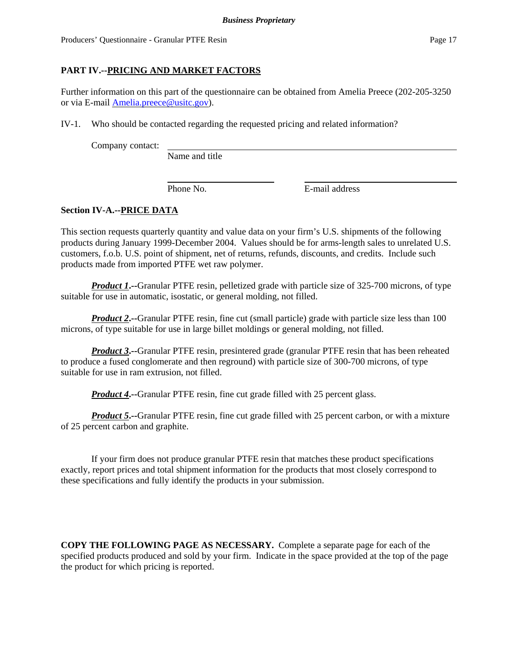Producers' Questionnaire - Granular PTFE Resin Page 17

### **PART IV.--PRICING AND MARKET FACTORS**

Further information on this part of the questionnaire can be obtained from Amelia Preece (202-205-3250 or via E-mail Amelia.preece@usitc.gov).

IV-1. Who should be contacted regarding the requested pricing and related information?

Company contact:

Name and title

Phone No. **E**-mail address

### **Section IV-A.--PRICE DATA**

This section requests quarterly quantity and value data on your firm's U.S. shipments of the following products during January 1999-December 2004. Values should be for arms-length sales to unrelated U.S. customers, f.o.b. U.S. point of shipment, net of returns, refunds, discounts, and credits. Include such products made from imported PTFE wet raw polymer.

*Product 1***.--**Granular PTFE resin, pelletized grade with particle size of 325-700 microns, of type suitable for use in automatic, isostatic, or general molding, not filled.

*Product 2***.**--Granular PTFE resin, fine cut (small particle) grade with particle size less than 100 microns, of type suitable for use in large billet moldings or general molding, not filled.

*Product 3***</u>.**--Granular PTFE resin, presintered grade (granular PTFE resin that has been reheated to produce a fused conglomerate and then reground) with particle size of 300-700 microns, of type suitable for use in ram extrusion, not filled.

*Product 4***.** --Granular PTFE resin, fine cut grade filled with 25 percent glass.

*Product 5***.--**Granular PTFE resin, fine cut grade filled with 25 percent carbon, or with a mixture of 25 percent carbon and graphite.

If your firm does not produce granular PTFE resin that matches these product specifications exactly, report prices and total shipment information for the products that most closely correspond to these specifications and fully identify the products in your submission.

**COPY THE FOLLOWING PAGE AS NECESSARY.** Complete a separate page for each of the specified products produced and sold by your firm. Indicate in the space provided at the top of the page the product for which pricing is reported.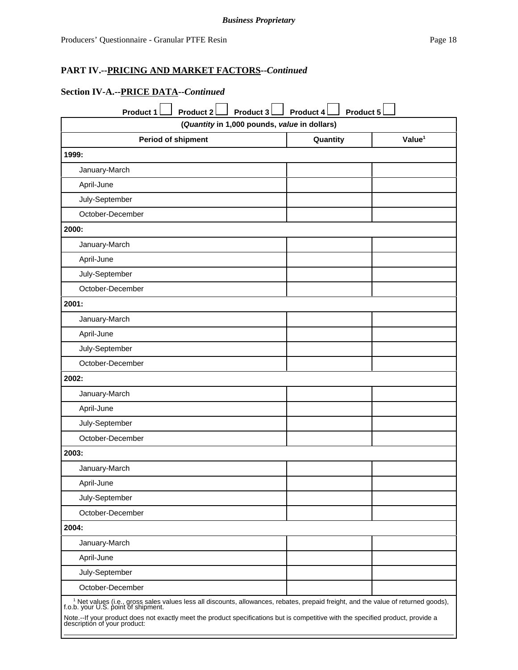## **Section IV-A.--PRICE DATA--***Continued*

| <b>Product 1</b><br><b>Product 2</b><br>Product 3                                                                                                                                 | Product 5<br>Product 4 |                    |
|-----------------------------------------------------------------------------------------------------------------------------------------------------------------------------------|------------------------|--------------------|
| (Quantity in 1,000 pounds, value in dollars)                                                                                                                                      |                        |                    |
| <b>Period of shipment</b>                                                                                                                                                         | Quantity               | Value <sup>1</sup> |
| 1999:                                                                                                                                                                             |                        |                    |
| January-March                                                                                                                                                                     |                        |                    |
| April-June                                                                                                                                                                        |                        |                    |
| July-September                                                                                                                                                                    |                        |                    |
| October-December                                                                                                                                                                  |                        |                    |
| 2000:                                                                                                                                                                             |                        |                    |
| January-March                                                                                                                                                                     |                        |                    |
| April-June                                                                                                                                                                        |                        |                    |
| July-September                                                                                                                                                                    |                        |                    |
| October-December                                                                                                                                                                  |                        |                    |
| 2001:                                                                                                                                                                             |                        |                    |
| January-March                                                                                                                                                                     |                        |                    |
| April-June                                                                                                                                                                        |                        |                    |
| July-September                                                                                                                                                                    |                        |                    |
| October-December                                                                                                                                                                  |                        |                    |
| 2002:                                                                                                                                                                             |                        |                    |
| January-March                                                                                                                                                                     |                        |                    |
| April-June                                                                                                                                                                        |                        |                    |
| July-September                                                                                                                                                                    |                        |                    |
| October-December                                                                                                                                                                  |                        |                    |
| 2003:                                                                                                                                                                             |                        |                    |
| January-March                                                                                                                                                                     |                        |                    |
| April-June                                                                                                                                                                        |                        |                    |
| July-September                                                                                                                                                                    |                        |                    |
| October-December                                                                                                                                                                  |                        |                    |
| 2004:                                                                                                                                                                             |                        |                    |
| January-March                                                                                                                                                                     |                        |                    |
| April-June                                                                                                                                                                        |                        |                    |
| July-September                                                                                                                                                                    |                        |                    |
| October-December                                                                                                                                                                  |                        |                    |
| <sup>1</sup> Net values (i.e., gross sales values less all discounts, allowances, rebates, prepaid freight, and the value of returned goods), f.o.b. your U.S. point of shipment. |                        |                    |
| Note.--If your product does not exactly meet the product specifications but is competitive with the specified product, provide a<br>description of your product:                  |                        |                    |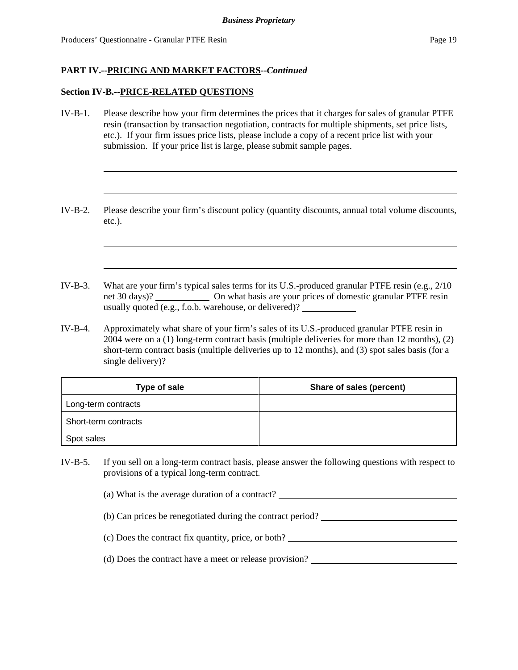#### **Section IV-B.--PRICE-RELATED QUESTIONS**

- IV-B-1. Please describe how your firm determines the prices that it charges for sales of granular PTFE resin (transaction by transaction negotiation, contracts for multiple shipments, set price lists, etc.). If your firm issues price lists, please include a copy of a recent price list with your submission. If your price list is large, please submit sample pages.
- IV-B-2. Please describe your firm's discount policy (quantity discounts, annual total volume discounts, etc.).
- IV-B-3. What are your firm's typical sales terms for its U.S.-produced granular PTFE resin (e.g., 2/10 net 30 days)? On what basis are your prices of domestic granular PTFE resin usually quoted (e.g., f.o.b. warehouse, or delivered)?
- IV-B-4. Approximately what share of your firm's sales of its U.S.-produced granular PTFE resin in 2004 were on a (1) long-term contract basis (multiple deliveries for more than 12 months), (2) short-term contract basis (multiple deliveries up to 12 months), and (3) spot sales basis (for a single delivery)?

| Type of sale         | Share of sales (percent) |
|----------------------|--------------------------|
| Long-term contracts  |                          |
| Short-term contracts |                          |
| Spot sales           |                          |

IV-B-5. If you sell on a long-term contract basis, please answer the following questions with respect to provisions of a typical long-term contract.

(a) What is the average duration of a contract?

(b) Can prices be renegotiated during the contract period?

- (c) Does the contract fix quantity, price, or both?
- (d) Does the contract have a meet or release provision?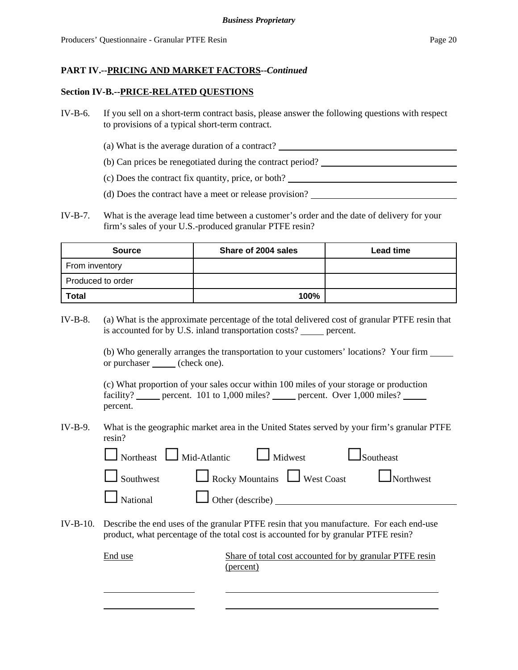#### **Section IV-B.--PRICE-RELATED QUESTIONS**

- IV-B-6. If you sell on a short-term contract basis, please answer the following questions with respect to provisions of a typical short-term contract.
	- (a) What is the average duration of a contract?
	- (b) Can prices be renegotiated during the contract period?
	- (c) Does the contract fix quantity, price, or both?
	- (d) Does the contract have a meet or release provision?
- IV-B-7. What is the average lead time between a customer's order and the date of delivery for your firm's sales of your U.S.-produced granular PTFE resin?

| <b>Source</b>     | Share of 2004 sales | <b>Lead time</b> |
|-------------------|---------------------|------------------|
| From inventory    |                     |                  |
| Produced to order |                     |                  |
| <b>Total</b>      | 100%                |                  |

IV-B-8. (a) What is the approximate percentage of the total delivered cost of granular PTFE resin that is accounted for by U.S. inland transportation costs? percent.

> (b) Who generally arranges the transportation to your customers' locations? Your firm or purchaser <u>(</u>check one).

(c) What proportion of your sales occur within 100 miles of your storage or production facility? \_\_\_\_\_ percent. 101 to 1,000 miles? \_\_\_\_\_ percent. Over 1,000 miles? \_\_\_\_ percent.

IV-B-9. What is the geographic market area in the United States served by your firm's granular PTFE resin?

| $\Box$ Northeast $\Box$ Mid-Atlantic $\Box$ Midwest | $\Box$ Southeast                               |
|-----------------------------------------------------|------------------------------------------------|
|                                                     | Southwest Rocky Mountains West Coast Northwest |
| $\Box$ National $\Box$ Other (describe) $\Box$      |                                                |

IV-B-10. Describe the end uses of the granular PTFE resin that you manufacture. For each end-use product, what percentage of the total cost is accounted for by granular PTFE resin?

| End use | Share of total cost accounted for by granular PTFE resin |
|---------|----------------------------------------------------------|
|         | (percent)                                                |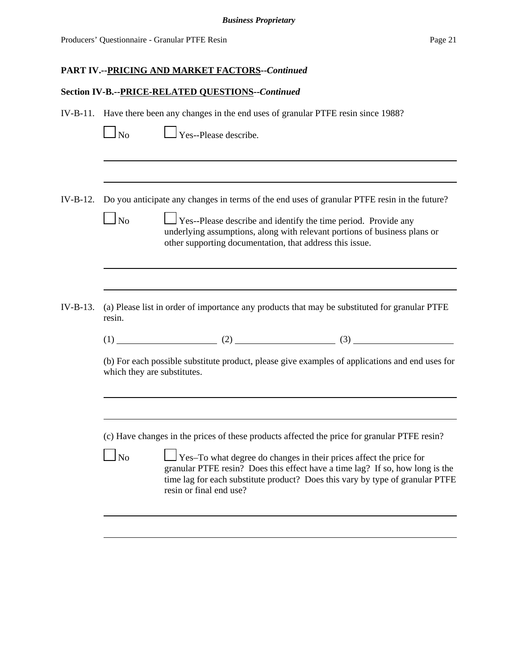### **Section IV-B.--PRICE-RELATED QUESTIONS--***Continued*

IV-B-11. Have there been any changes in the end uses of granular PTFE resin since 1988?

| v |
|---|
|---|

 $\Box$  Yes--Please describe.

IV-B-12. Do you anticipate any changes in terms of the end uses of granular PTFE resin in the future?

|          |        | $\Box$ Yes--Please describe and identify the time period. Provide any<br>underlying assumptions, along with relevant portions of business plans or<br>other supporting documentation, that address this issue. |  |  |
|----------|--------|----------------------------------------------------------------------------------------------------------------------------------------------------------------------------------------------------------------|--|--|
|          |        |                                                                                                                                                                                                                |  |  |
| IV-B-13. | resin. | (a) Please list in order of importance any products that may be substituted for granular PTFE                                                                                                                  |  |  |

 $(1)$  (2) (3)

(b) For each possible substitute product, please give examples of applications and end uses for which they are substitutes.

(c) Have changes in the prices of these products affected the price for granular PTFE resin?

|--|

 $\Box$  Yes–To what degree do changes in their prices affect the price for granular PTFE resin? Does this effect have a time lag? If so, how long is the time lag for each substitute product? Does this vary by type of granular PTFE resin or final end use?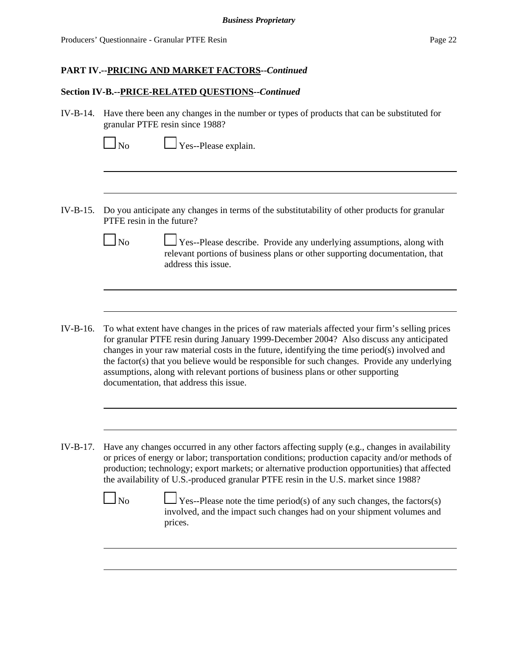### **Section IV-B.--PRICE-RELATED QUESTIONS--***Continued*

IV-B-14. Have there been any changes in the number or types of products that can be substituted for granular PTFE resin since 1988?

 $\Box$  Yes--Please explain.

- IV-B-15. Do you anticipate any changes in terms of the substitutability of other products for granular PTFE resin in the future?
	- No  $\Box$  Yes--Please describe. Provide any underlying assumptions, along with relevant portions of business plans or other supporting documentation, that address this issue.
- IV-B-16. To what extent have changes in the prices of raw materials affected your firm's selling prices for granular PTFE resin during January 1999-December 2004? Also discuss any anticipated changes in your raw material costs in the future, identifying the time period(s) involved and the factor(s) that you believe would be responsible for such changes. Provide any underlying assumptions, along with relevant portions of business plans or other supporting documentation, that address this issue.
- IV-B-17. Have any changes occurred in any other factors affecting supply (e.g., changes in availability or prices of energy or labor; transportation conditions; production capacity and/or methods of production; technology; export markets; or alternative production opportunities) that affected the availability of U.S.-produced granular PTFE resin in the U.S. market since 1988?

| N <sub>0</sub> | $\Box$ Yes--Please note the time period(s) of any such changes, the factors(s) |
|----------------|--------------------------------------------------------------------------------|
|                | involved, and the impact such changes had on your shipment volumes and         |
|                | prices.                                                                        |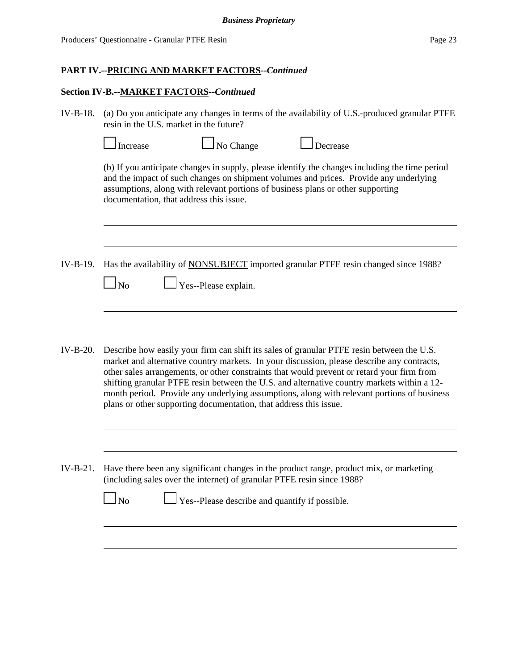### **Section IV-B.--MARKET FACTORS--***Continued*

IV-B-18. (a) Do you anticipate any changes in terms of the availability of U.S.-produced granular PTFE resin in the U.S. market in the future?

|            | Increase                                                                                                                                                                                                                                                                                                              | No Change                                                              | Decrease                                                                                                                                                                                                                                                                                                                                                                                                                                                                          |  |
|------------|-----------------------------------------------------------------------------------------------------------------------------------------------------------------------------------------------------------------------------------------------------------------------------------------------------------------------|------------------------------------------------------------------------|-----------------------------------------------------------------------------------------------------------------------------------------------------------------------------------------------------------------------------------------------------------------------------------------------------------------------------------------------------------------------------------------------------------------------------------------------------------------------------------|--|
|            | (b) If you anticipate changes in supply, please identify the changes including the time period<br>and the impact of such changes on shipment volumes and prices. Provide any underlying<br>assumptions, along with relevant portions of business plans or other supporting<br>documentation, that address this issue. |                                                                        |                                                                                                                                                                                                                                                                                                                                                                                                                                                                                   |  |
|            |                                                                                                                                                                                                                                                                                                                       |                                                                        |                                                                                                                                                                                                                                                                                                                                                                                                                                                                                   |  |
| IV-B-19.   | $\mathbf{N}$ o                                                                                                                                                                                                                                                                                                        | Yes--Please explain.                                                   | Has the availability of <b>NONSUBJECT</b> imported granular PTFE resin changed since 1988?                                                                                                                                                                                                                                                                                                                                                                                        |  |
|            |                                                                                                                                                                                                                                                                                                                       |                                                                        |                                                                                                                                                                                                                                                                                                                                                                                                                                                                                   |  |
| IV-B-20.   |                                                                                                                                                                                                                                                                                                                       | plans or other supporting documentation, that address this issue.      | Describe how easily your firm can shift its sales of granular PTFE resin between the U.S.<br>market and alternative country markets. In your discussion, please describe any contracts,<br>other sales arrangements, or other constraints that would prevent or retard your firm from<br>shifting granular PTFE resin between the U.S. and alternative country markets within a 12-<br>month period. Provide any underlying assumptions, along with relevant portions of business |  |
|            |                                                                                                                                                                                                                                                                                                                       |                                                                        |                                                                                                                                                                                                                                                                                                                                                                                                                                                                                   |  |
| $IV-B-21.$ |                                                                                                                                                                                                                                                                                                                       | (including sales over the internet) of granular PTFE resin since 1988? | Have there been any significant changes in the product range, product mix, or marketing                                                                                                                                                                                                                                                                                                                                                                                           |  |
|            | N <sub>o</sub>                                                                                                                                                                                                                                                                                                        | Yes--Please describe and quantify if possible.                         |                                                                                                                                                                                                                                                                                                                                                                                                                                                                                   |  |
|            |                                                                                                                                                                                                                                                                                                                       |                                                                        |                                                                                                                                                                                                                                                                                                                                                                                                                                                                                   |  |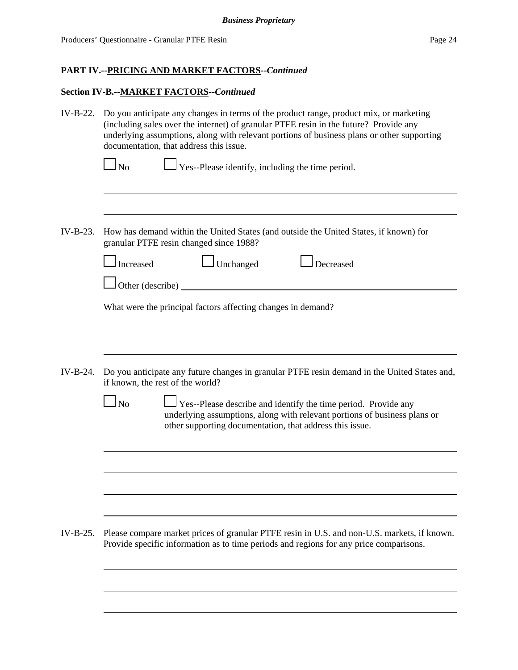## **Section IV-B.--MARKET FACTORS--***Continued*

| IV-B-22.   | Do you anticipate any changes in terms of the product range, product mix, or marketing<br>(including sales over the internet) of granular PTFE resin in the future? Provide any<br>underlying assumptions, along with relevant portions of business plans or other supporting<br>documentation, that address this issue. |  |  |  |
|------------|--------------------------------------------------------------------------------------------------------------------------------------------------------------------------------------------------------------------------------------------------------------------------------------------------------------------------|--|--|--|
|            | $\Box$ Yes--Please identify, including the time period.<br>N <sub>0</sub>                                                                                                                                                                                                                                                |  |  |  |
| $IV-B-23.$ | How has demand within the United States (and outside the United States, if known) for<br>granular PTFE resin changed since 1988?                                                                                                                                                                                         |  |  |  |
|            | Unchanged<br>Decreased<br>Increased                                                                                                                                                                                                                                                                                      |  |  |  |
|            | Other (describe)                                                                                                                                                                                                                                                                                                         |  |  |  |
|            | What were the principal factors affecting changes in demand?                                                                                                                                                                                                                                                             |  |  |  |
|            |                                                                                                                                                                                                                                                                                                                          |  |  |  |
| $IV-B-24.$ | Do you anticipate any future changes in granular PTFE resin demand in the United States and,<br>if known, the rest of the world?                                                                                                                                                                                         |  |  |  |
|            | $\Box$ No<br>$\Box$ Yes--Please describe and identify the time period. Provide any<br>underlying assumptions, along with relevant portions of business plans or<br>other supporting documentation, that address this issue.                                                                                              |  |  |  |
|            |                                                                                                                                                                                                                                                                                                                          |  |  |  |
|            |                                                                                                                                                                                                                                                                                                                          |  |  |  |
|            |                                                                                                                                                                                                                                                                                                                          |  |  |  |
| $IV-B-25.$ | Please compare market prices of granular PTFE resin in U.S. and non-U.S. markets, if known.<br>Provide specific information as to time periods and regions for any price comparisons.                                                                                                                                    |  |  |  |
|            |                                                                                                                                                                                                                                                                                                                          |  |  |  |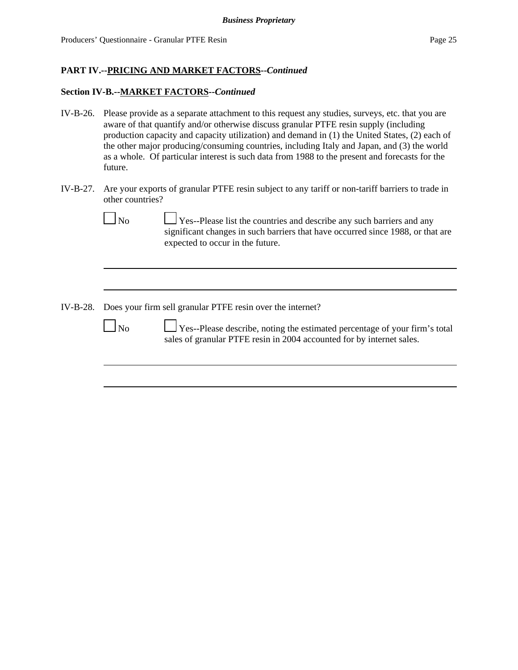### **Section IV-B.--MARKET FACTORS--***Continued*

- IV-B-26. Please provide as a separate attachment to this request any studies, surveys, etc. that you are aware of that quantify and/or otherwise discuss granular PTFE resin supply (including production capacity and capacity utilization) and demand in (1) the United States, (2) each of the other major producing/consuming countries, including Italy and Japan, and (3) the world as a whole. Of particular interest is such data from 1988 to the present and forecasts for the future.
- IV-B-27. Are your exports of granular PTFE resin subject to any tariff or non-tariff barriers to trade in other countries?

| No | $\Box$ Yes--Please list the countries and describe any such barriers and any    |
|----|---------------------------------------------------------------------------------|
|    | significant changes in such barriers that have occurred since 1988, or that are |
|    | expected to occur in the future.                                                |
|    |                                                                                 |

IV-B-28. Does your firm sell granular PTFE resin over the internet?

No Yes--Please describe, noting the estimated percentage of your firm's total sales of granular PTFE resin in 2004 accounted for by internet sales.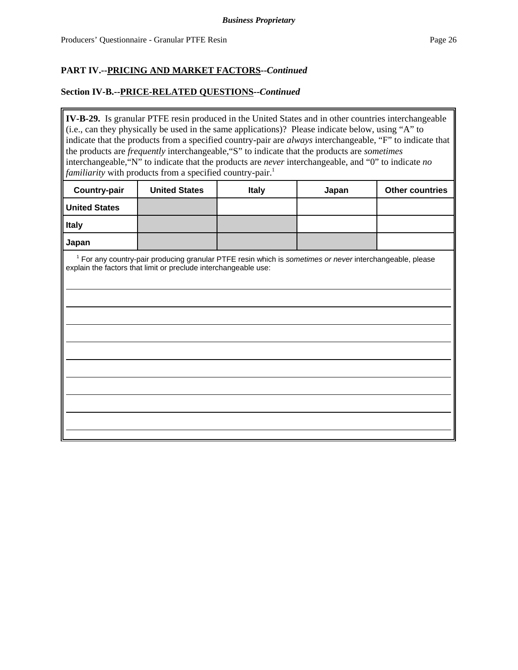### **Section IV-B.--PRICE-RELATED QUESTIONS--***Continued*

**IV-B-29.** Is granular PTFE resin produced in the United States and in other countries interchangeable (i.e., can they physically be used in the same applications)? Please indicate below, using "A" to indicate that the products from a specified country-pair are *always* interchangeable, "F" to indicate that the products are *frequently* interchangeable,"S" to indicate that the products are *sometimes* interchangeable,"N" to indicate that the products are *never* interchangeable, and "0" to indicate *no familiarity* with products from a specified country-pair.<sup>1</sup>

| <b>Country-pair</b>  | <b>United States</b> | <b>Italy</b> | Japan | <b>Other countries</b> |
|----------------------|----------------------|--------------|-------|------------------------|
| <b>United States</b> |                      |              |       |                        |
| <b>Italy</b>         |                      |              |       |                        |
| Japan                |                      |              |       |                        |

 1 For any country-pair producing granular PTFE resin which is *sometimes or never* interchangeable, please explain the factors that limit or preclude interchangeable use: